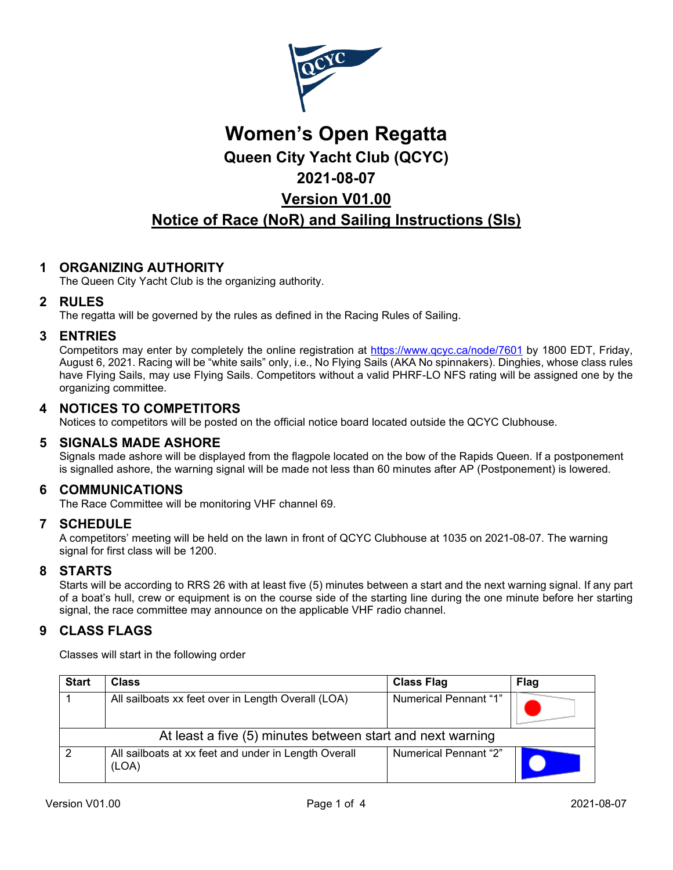

# **Women's Open Regatta Queen City Yacht Club (QCYC) 2021-08-07 Version V01.00 Notice of Race (NoR) and Sailing Instructions (SIs)**

# **1 ORGANIZING AUTHORITY**

The Queen City Yacht Club is the organizing authority.

#### **2 RULES**

The regatta will be governed by the rules as defined in the Racing Rules of Sailing.

#### **3 ENTRIES**

Competitors may enter by completely the online registration at<https://www.qcyc.ca/node/7601> by 1800 EDT, Friday, August 6, 2021. Racing will be "white sails" only, i.e., No Flying Sails (AKA No spinnakers). Dinghies, whose class rules have Flying Sails, may use Flying Sails. Competitors without a valid PHRF-LO NFS rating will be assigned one by the organizing committee.

## **4 NOTICES TO COMPETITORS**

Notices to competitors will be posted on the official notice board located outside the QCYC Clubhouse.

#### **5 SIGNALS MADE ASHORE**

Signals made ashore will be displayed from the flagpole located on the bow of the Rapids Queen. If a postponement is signalled ashore, the warning signal will be made not less than 60 minutes after AP (Postponement) is lowered.

#### **6 COMMUNICATIONS**

The Race Committee will be monitoring VHF channel 69.

#### **7 SCHEDULE**

A competitors' meeting will be held on the lawn in front of QCYC Clubhouse at 1035 on 2021-08-07. The warning signal for first class will be 1200.

#### **8 STARTS**

Starts will be according to RRS 26 with at least five (5) minutes between a start and the next warning signal. If any part of a boat's hull, crew or equipment is on the course side of the starting line during the one minute before her starting signal, the race committee may announce on the applicable VHF radio channel.

# **9 CLASS FLAGS**

Classes will start in the following order

| <b>Start</b>                                               | <b>Class</b>                                                  | <b>Class Flag</b>            | <b>Flag</b> |  |  |  |
|------------------------------------------------------------|---------------------------------------------------------------|------------------------------|-------------|--|--|--|
|                                                            | All sailboats xx feet over in Length Overall (LOA)            | Numerical Pennant "1"        |             |  |  |  |
| At least a five (5) minutes between start and next warning |                                                               |                              |             |  |  |  |
| 2                                                          | All sailboats at xx feet and under in Length Overall<br>(LOA) | <b>Numerical Pennant "2"</b> |             |  |  |  |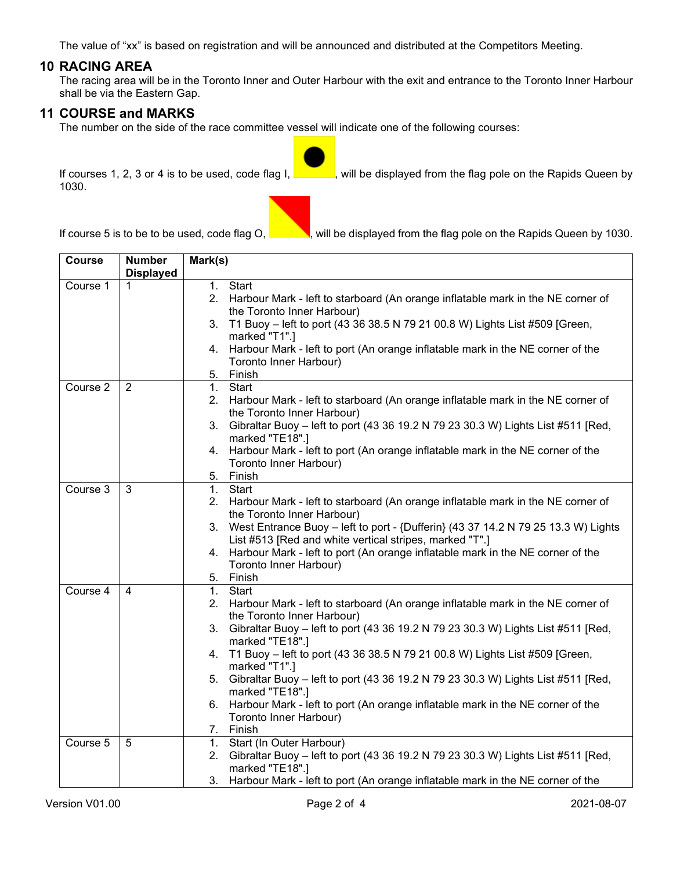The value of "xx" is based on registration and will be announced and distributed at the Competitors Meeting.

#### **10 RACING AREA**

The racing area will be in the Toronto Inner and Outer Harbour with the exit and entrance to the Toronto Inner Harbour shall be via the Eastern Gap.

#### **11 COURSE and MARKS**

The number on the side of the race committee vessel will indicate one of the following courses:

1030.

If courses 1, 2, 3 or 4 is to be used, code flag I, will be displayed from the flag pole on the Rapids Queen by

If course 5 is to be to be used, code flag O,  $\frac{1}{\sqrt{2}}$ , will be displayed from the flag pole on the Rapids Queen by 1030.

| <b>Course</b> | <b>Number</b><br><b>Displayed</b> | Mark(s)                                                                                                                                         |
|---------------|-----------------------------------|-------------------------------------------------------------------------------------------------------------------------------------------------|
| Course 1      | 1                                 | 1. Start                                                                                                                                        |
|               |                                   | 2. Harbour Mark - left to starboard (An orange inflatable mark in the NE corner of                                                              |
|               |                                   | the Toronto Inner Harbour)                                                                                                                      |
|               |                                   | T1 Buoy - left to port (43 36 38.5 N 79 21 00.8 W) Lights List #509 [Green,<br>3.                                                               |
|               |                                   | marked "T1".]                                                                                                                                   |
|               |                                   | 4. Harbour Mark - left to port (An orange inflatable mark in the NE corner of the                                                               |
|               |                                   | Toronto Inner Harbour)                                                                                                                          |
|               |                                   | 5.<br>Finish                                                                                                                                    |
| Course 2      | $\overline{2}$                    | Start<br>1.                                                                                                                                     |
|               |                                   | 2. Harbour Mark - left to starboard (An orange inflatable mark in the NE corner of                                                              |
|               |                                   | the Toronto Inner Harbour)                                                                                                                      |
|               |                                   | 3. Gibraltar Buoy - left to port (43 36 19.2 N 79 23 30.3 W) Lights List #511 [Red,<br>marked "TE18".]                                          |
|               |                                   | 4. Harbour Mark - left to port (An orange inflatable mark in the NE corner of the                                                               |
|               |                                   | Toronto Inner Harbour)                                                                                                                          |
|               |                                   | 5.<br>Finish                                                                                                                                    |
| Course 3      | 3                                 | Start<br>1 <sub>1</sub>                                                                                                                         |
|               |                                   | 2. Harbour Mark - left to starboard (An orange inflatable mark in the NE corner of                                                              |
|               |                                   | the Toronto Inner Harbour)                                                                                                                      |
|               |                                   | 3. West Entrance Buoy - left to port - {Dufferin} (43 37 14.2 N 79 25 13.3 W) Lights<br>List #513 [Red and white vertical stripes, marked "T".] |
|               |                                   | 4. Harbour Mark - left to port (An orange inflatable mark in the NE corner of the                                                               |
|               |                                   | Toronto Inner Harbour)                                                                                                                          |
|               |                                   | Finish<br>5.                                                                                                                                    |
| Course 4      | 4                                 | 1 <sub>1</sub><br>Start                                                                                                                         |
|               |                                   | 2. Harbour Mark - left to starboard (An orange inflatable mark in the NE corner of                                                              |
|               |                                   | the Toronto Inner Harbour)                                                                                                                      |
|               |                                   | 3. Gibraltar Buoy - left to port (43 36 19.2 N 79 23 30.3 W) Lights List #511 [Red,                                                             |
|               |                                   | marked "TE18".]                                                                                                                                 |
|               |                                   | 4. T1 Buoy - left to port (43 36 38.5 N 79 21 00.8 W) Lights List #509 [Green,                                                                  |
|               |                                   | marked "T1".]                                                                                                                                   |
|               |                                   | Gibraltar Buoy - left to port (43 36 19.2 N 79 23 30.3 W) Lights List #511 [Red,<br>5.<br>marked "TE18".]                                       |
|               |                                   | 6. Harbour Mark - left to port (An orange inflatable mark in the NE corner of the                                                               |
|               |                                   | Toronto Inner Harbour)                                                                                                                          |
|               |                                   | 7. Finish                                                                                                                                       |
| Course 5      | 5                                 | 1. Start (In Outer Harbour)                                                                                                                     |
|               |                                   | 2. Gibraltar Buoy - left to port (43 36 19.2 N 79 23 30.3 W) Lights List #511 [Red,                                                             |
|               |                                   | marked "TE18".]                                                                                                                                 |
|               |                                   | 3. Harbour Mark - left to port (An orange inflatable mark in the NE corner of the                                                               |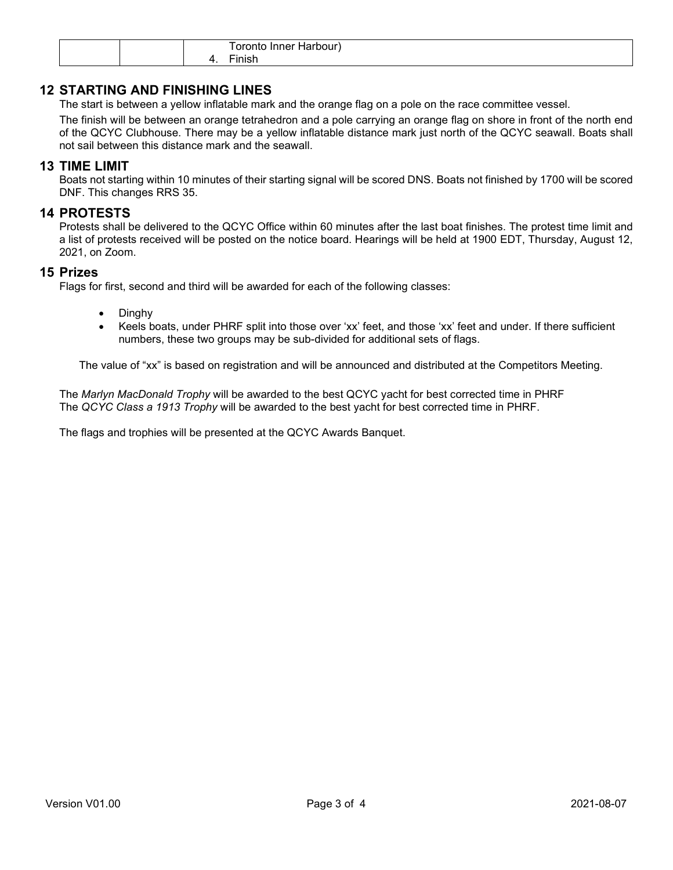|  | - - - - -<br>.<br>nr<br>ле<br>יי יי          |
|--|----------------------------------------------|
|  | - -<br>$\sim$ $\sim$ $\sim$ $\sim$<br>'inish |

## **12 STARTING AND FINISHING LINES**

The start is between a yellow inflatable mark and the orange flag on a pole on the race committee vessel.

The finish will be between an orange tetrahedron and a pole carrying an orange flag on shore in front of the north end of the QCYC Clubhouse. There may be a yellow inflatable distance mark just north of the QCYC seawall. Boats shall not sail between this distance mark and the seawall.

#### **13 TIME LIMIT**

Boats not starting within 10 minutes of their starting signal will be scored DNS. Boats not finished by 1700 will be scored DNF. This changes RRS 35.

#### **14 PROTESTS**

Protests shall be delivered to the QCYC Office within 60 minutes after the last boat finishes. The protest time limit and a list of protests received will be posted on the notice board. Hearings will be held at 1900 EDT, Thursday, August 12, 2021, on Zoom.

#### **15 Prizes**

Flags for first, second and third will be awarded for each of the following classes:

- Dinghy
- Keels boats, under PHRF split into those over 'xx' feet, and those 'xx' feet and under. If there sufficient numbers, these two groups may be sub-divided for additional sets of flags.

The value of "xx" is based on registration and will be announced and distributed at the Competitors Meeting.

The *Marlyn MacDonald Trophy* will be awarded to the best QCYC yacht for best corrected time in PHRF The *QCYC Class a 1913 Trophy* will be awarded to the best yacht for best corrected time in PHRF.

The flags and trophies will be presented at the QCYC Awards Banquet.